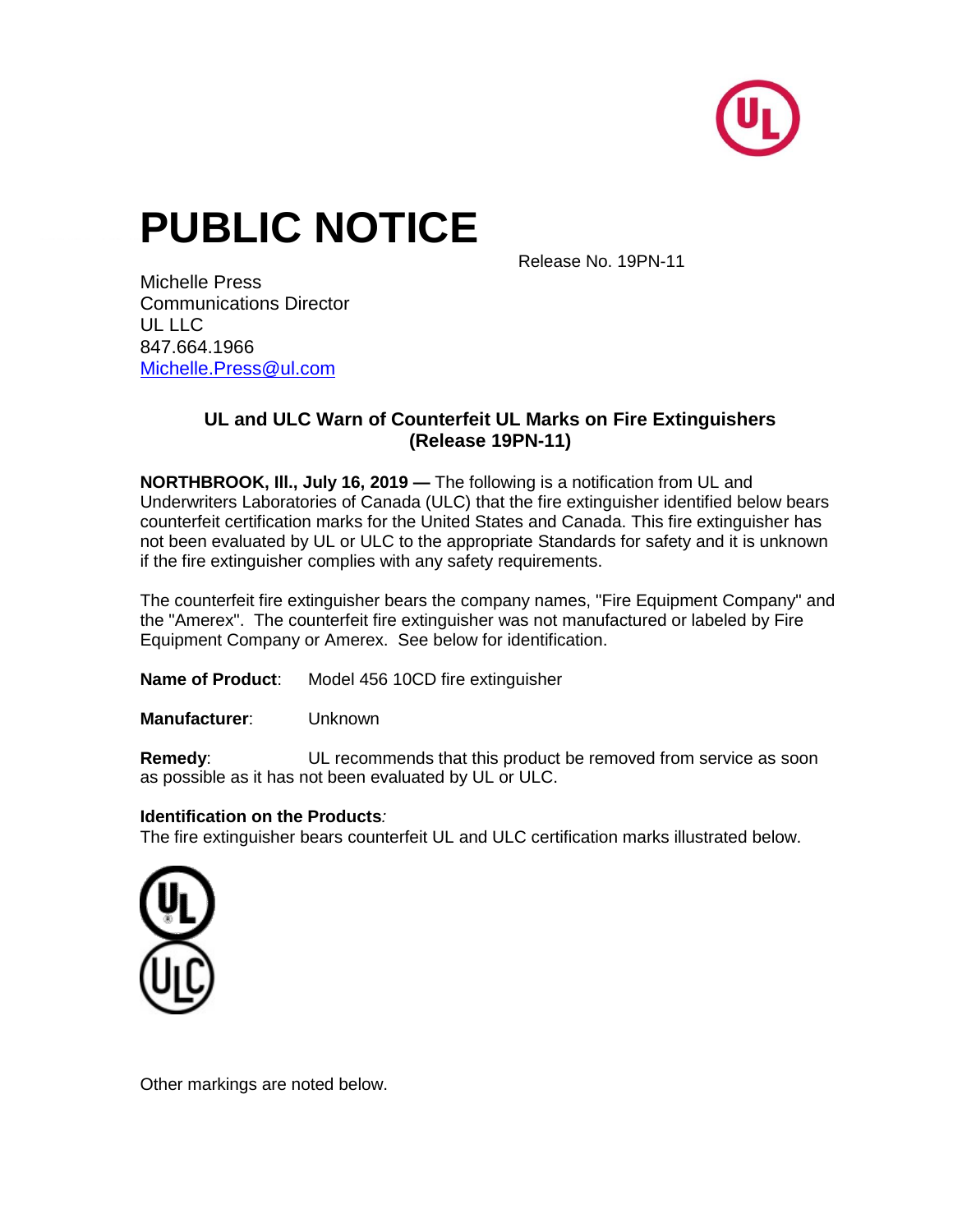

# **PUBLIC NOTICE**

Release No. 19PN-11

Michelle Press Communications Director  $UL$   $UL$ 847.664.1966 [Michelle.Press@ul.com](mailto:Michelle.Press@ul.com)

### **UL and ULC Warn of Counterfeit UL Marks on Fire Extinguishers (Release 19PN-11)**

**NORTHBROOK, Ill., July 16, 2019 —** The following is a notification from UL and Underwriters Laboratories of Canada (ULC) that the fire extinguisher identified below bears counterfeit certification marks for the United States and Canada. This fire extinguisher has not been evaluated by UL or ULC to the appropriate Standards for safety and it is unknown if the fire extinguisher complies with any safety requirements.

The counterfeit fire extinguisher bears the company names, "Fire Equipment Company" and the "Amerex". The counterfeit fire extinguisher was not manufactured or labeled by Fire Equipment Company or Amerex. See below for identification.

**Name of Product**: Model 456 10CD fire extinguisher

**Manufacturer**: Unknown

**Remedy:** UL recommends that this product be removed from service as soon as possible as it has not been evaluated by UL or ULC.

#### **Identification on the Products***:*

The fire extinguisher bears counterfeit UL and ULC certification marks illustrated below.



Other markings are noted below.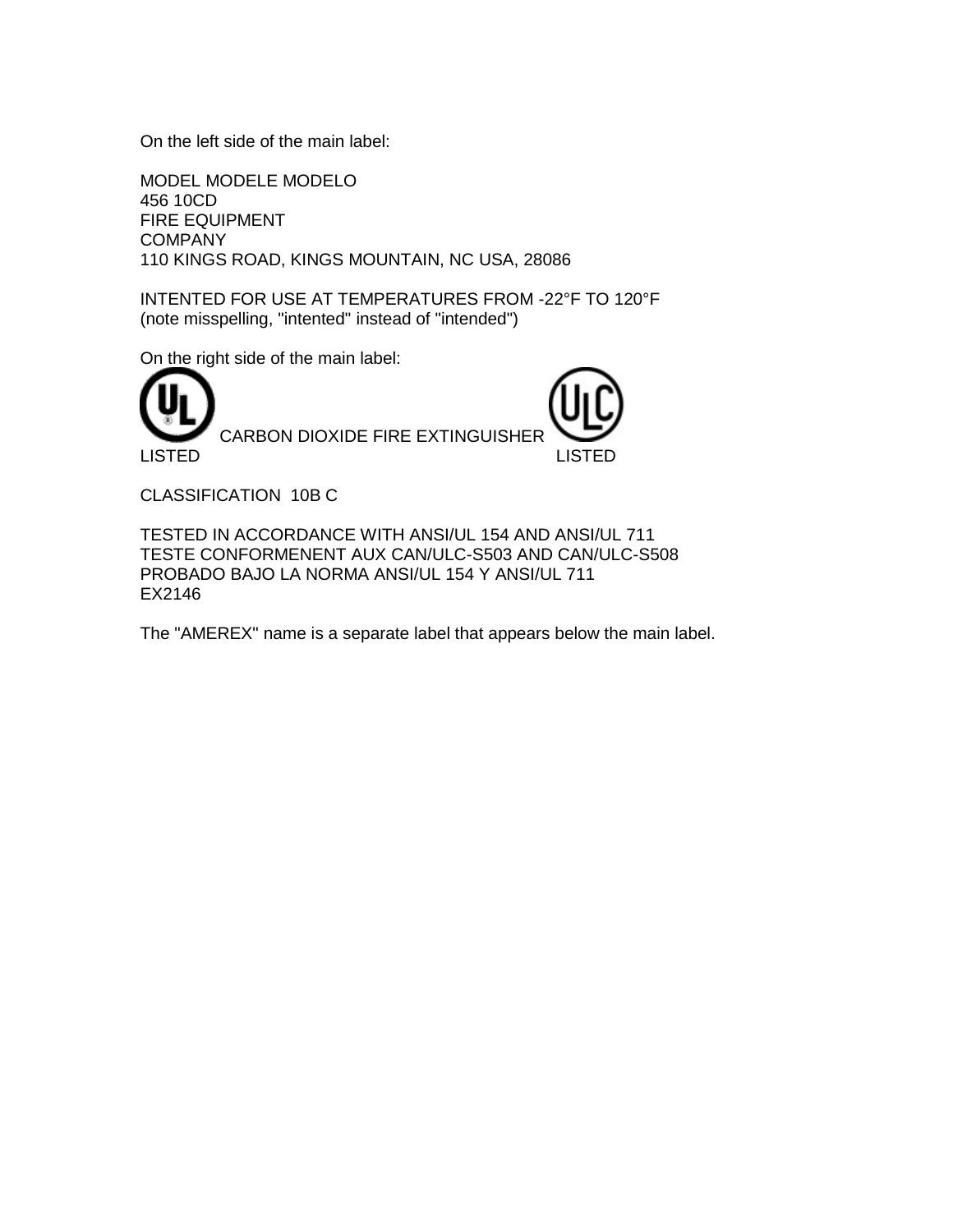On the left side of the main label:

MODEL MODELE MODELO 456 10CD FIRE EQUIPMENT **COMPANY** 110 KINGS ROAD, KINGS MOUNTAIN, NC USA, 28086

INTENTED FOR USE AT TEMPERATURES FROM -22°F TO 120°F (note misspelling, "intented" instead of "intended")

On the right side of the main label:



CLASSIFICATION 10B C

TESTED IN ACCORDANCE WITH ANSI/UL 154 AND ANSI/UL 711 TESTE CONFORMENENT AUX CAN/ULC-S503 AND CAN/ULC-S508 PROBADO BAJO LA NORMA ANSI/UL 154 Y ANSI/UL 711 EX2146

The "AMEREX" name is a separate label that appears below the main label.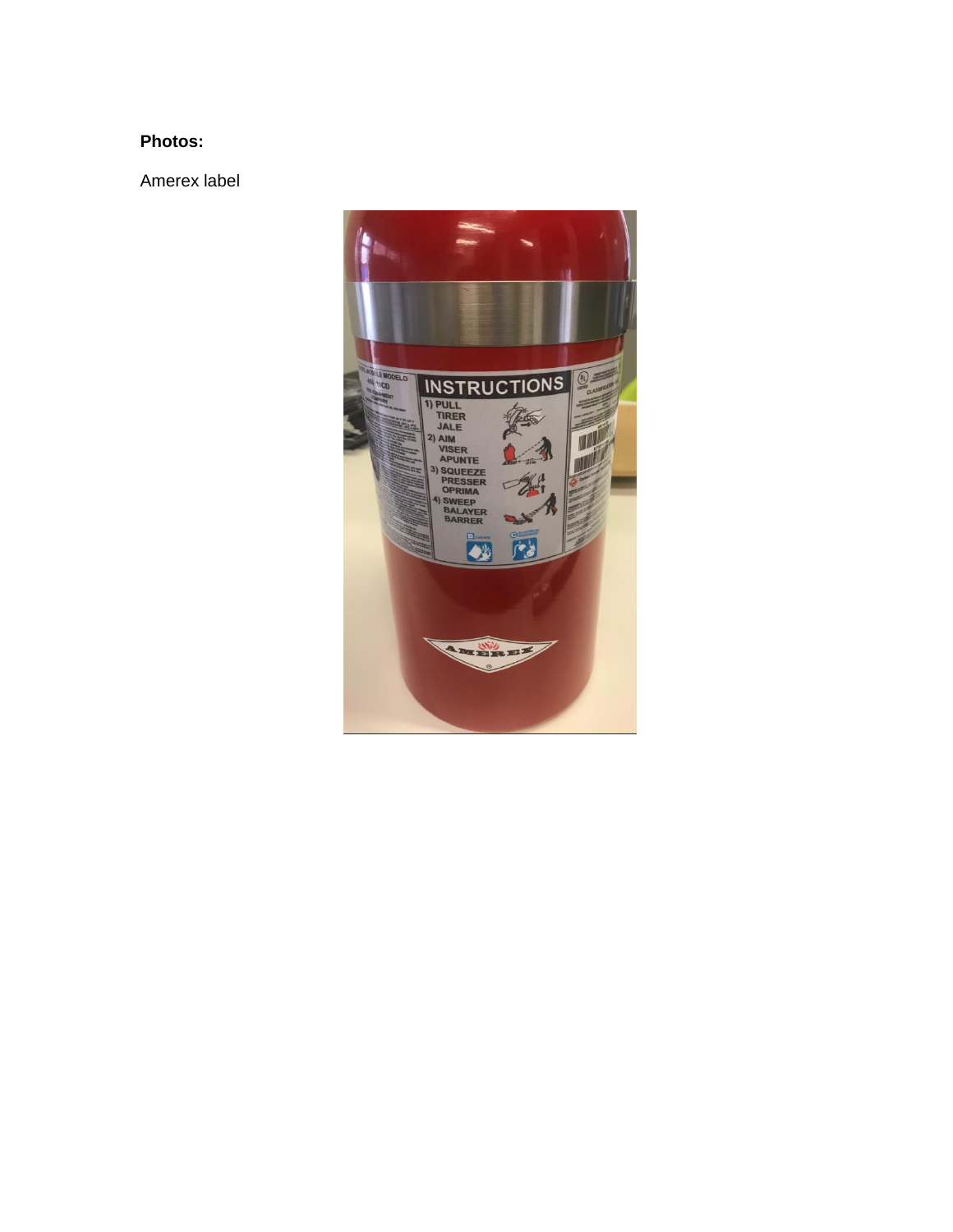## **Photos:**

Amerex label